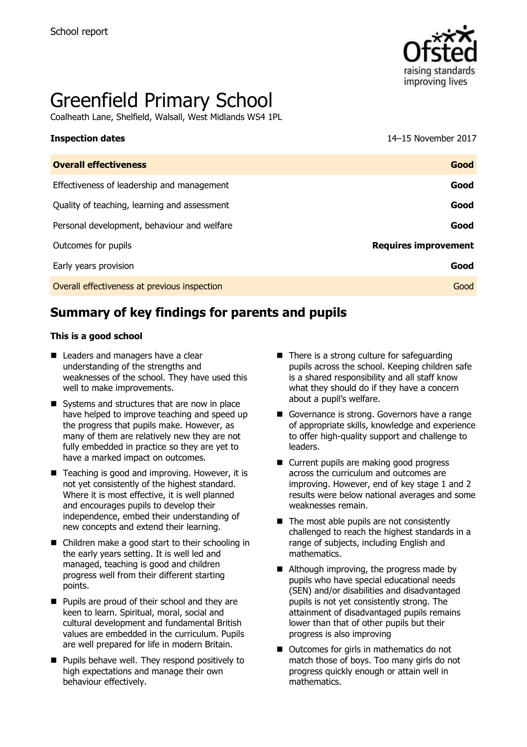

# Greenfield Primary School

Coalheath Lane, Shelfield, Walsall, West Midlands WS4 1PL

**Inspection dates** 14–15 November 2017

| <b>Overall effectiveness</b>                 | Good                        |
|----------------------------------------------|-----------------------------|
| Effectiveness of leadership and management   | Good                        |
| Quality of teaching, learning and assessment | Good                        |
| Personal development, behaviour and welfare  | Good                        |
| Outcomes for pupils                          | <b>Requires improvement</b> |
| Early years provision                        | Good                        |
| Overall effectiveness at previous inspection | Good                        |
|                                              |                             |

# **Summary of key findings for parents and pupils**

#### **This is a good school**

- Leaders and managers have a clear understanding of the strengths and weaknesses of the school. They have used this well to make improvements.
- Systems and structures that are now in place have helped to improve teaching and speed up the progress that pupils make. However, as many of them are relatively new they are not fully embedded in practice so they are yet to have a marked impact on outcomes.
- $\blacksquare$  Teaching is good and improving. However, it is not yet consistently of the highest standard. Where it is most effective, it is well planned and encourages pupils to develop their independence, embed their understanding of new concepts and extend their learning.
- Children make a good start to their schooling in the early years setting. It is well led and managed, teaching is good and children progress well from their different starting points.
- **Pupils are proud of their school and they are** keen to learn. Spiritual, moral, social and cultural development and fundamental British values are embedded in the curriculum. Pupils are well prepared for life in modern Britain.
- **Pupils behave well. They respond positively to** high expectations and manage their own behaviour effectively.
- There is a strong culture for safeguarding pupils across the school. Keeping children safe is a shared responsibility and all staff know what they should do if they have a concern about a pupil's welfare.
- Governance is strong. Governors have a range of appropriate skills, knowledge and experience to offer high-quality support and challenge to leaders.
- Current pupils are making good progress across the curriculum and outcomes are improving. However, end of key stage 1 and 2 results were below national averages and some weaknesses remain.
- $\blacksquare$  The most able pupils are not consistently challenged to reach the highest standards in a range of subjects, including English and mathematics.
- Although improving, the progress made by pupils who have special educational needs (SEN) and/or disabilities and disadvantaged pupils is not yet consistently strong. The attainment of disadvantaged pupils remains lower than that of other pupils but their progress is also improving
- Outcomes for girls in mathematics do not match those of boys. Too many girls do not progress quickly enough or attain well in mathematics.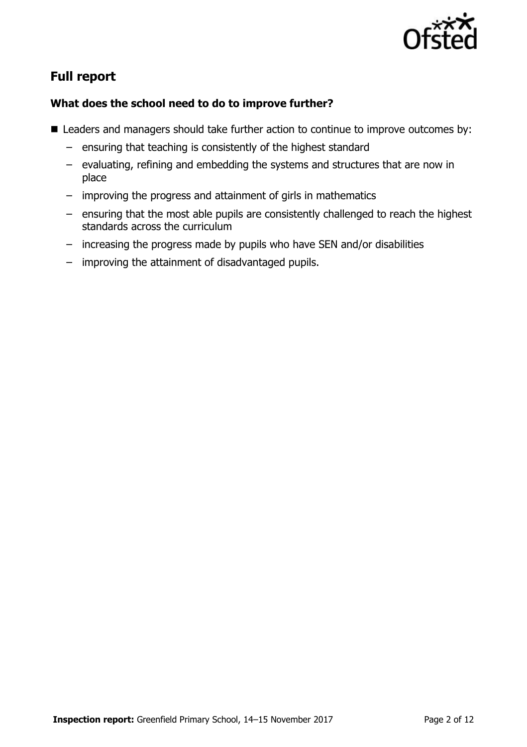

# **Full report**

### **What does the school need to do to improve further?**

- Leaders and managers should take further action to continue to improve outcomes by:
	- ensuring that teaching is consistently of the highest standard
	- evaluating, refining and embedding the systems and structures that are now in place
	- improving the progress and attainment of girls in mathematics
	- ensuring that the most able pupils are consistently challenged to reach the highest standards across the curriculum
	- increasing the progress made by pupils who have SEN and/or disabilities
	- improving the attainment of disadvantaged pupils.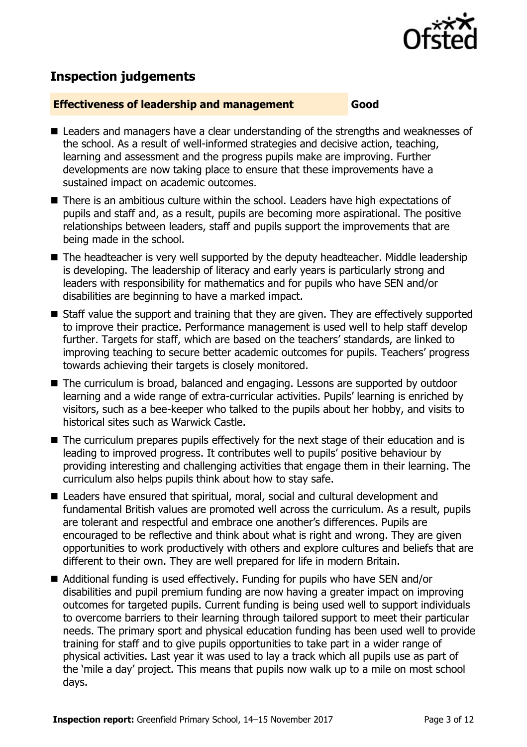

# **Inspection judgements**

#### **Effectiveness of leadership and management Good**

- Leaders and managers have a clear understanding of the strengths and weaknesses of the school. As a result of well-informed strategies and decisive action, teaching, learning and assessment and the progress pupils make are improving. Further developments are now taking place to ensure that these improvements have a sustained impact on academic outcomes.
- There is an ambitious culture within the school. Leaders have high expectations of pupils and staff and, as a result, pupils are becoming more aspirational. The positive relationships between leaders, staff and pupils support the improvements that are being made in the school.
- The headteacher is very well supported by the deputy headteacher. Middle leadership is developing. The leadership of literacy and early years is particularly strong and leaders with responsibility for mathematics and for pupils who have SEN and/or disabilities are beginning to have a marked impact.
- Staff value the support and training that they are given. They are effectively supported to improve their practice. Performance management is used well to help staff develop further. Targets for staff, which are based on the teachers' standards, are linked to improving teaching to secure better academic outcomes for pupils. Teachers' progress towards achieving their targets is closely monitored.
- The curriculum is broad, balanced and engaging. Lessons are supported by outdoor learning and a wide range of extra-curricular activities. Pupils' learning is enriched by visitors, such as a bee-keeper who talked to the pupils about her hobby, and visits to historical sites such as Warwick Castle.
- The curriculum prepares pupils effectively for the next stage of their education and is leading to improved progress. It contributes well to pupils' positive behaviour by providing interesting and challenging activities that engage them in their learning. The curriculum also helps pupils think about how to stay safe.
- Leaders have ensured that spiritual, moral, social and cultural development and fundamental British values are promoted well across the curriculum. As a result, pupils are tolerant and respectful and embrace one another's differences. Pupils are encouraged to be reflective and think about what is right and wrong. They are given opportunities to work productively with others and explore cultures and beliefs that are different to their own. They are well prepared for life in modern Britain.
- Additional funding is used effectively. Funding for pupils who have SEN and/or disabilities and pupil premium funding are now having a greater impact on improving outcomes for targeted pupils. Current funding is being used well to support individuals to overcome barriers to their learning through tailored support to meet their particular needs. The primary sport and physical education funding has been used well to provide training for staff and to give pupils opportunities to take part in a wider range of physical activities. Last year it was used to lay a track which all pupils use as part of the 'mile a day' project. This means that pupils now walk up to a mile on most school days.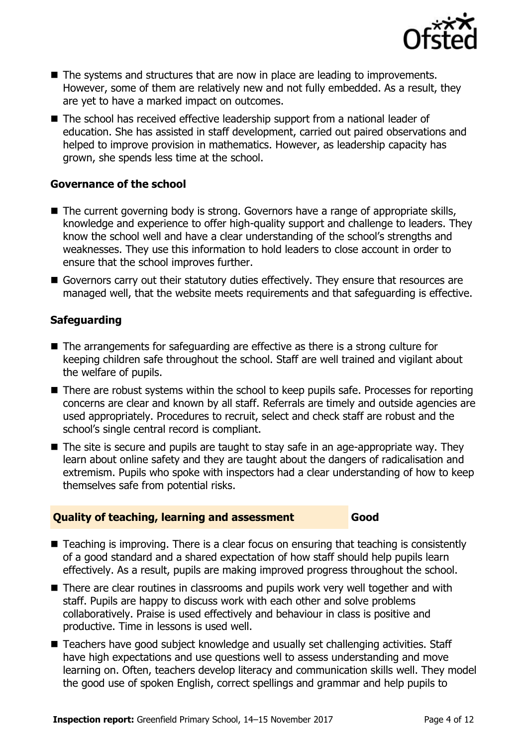

- The systems and structures that are now in place are leading to improvements. However, some of them are relatively new and not fully embedded. As a result, they are yet to have a marked impact on outcomes.
- The school has received effective leadership support from a national leader of education. She has assisted in staff development, carried out paired observations and helped to improve provision in mathematics. However, as leadership capacity has grown, she spends less time at the school.

#### **Governance of the school**

- The current governing body is strong. Governors have a range of appropriate skills, knowledge and experience to offer high-quality support and challenge to leaders. They know the school well and have a clear understanding of the school's strengths and weaknesses. They use this information to hold leaders to close account in order to ensure that the school improves further.
- Governors carry out their statutory duties effectively. They ensure that resources are managed well, that the website meets requirements and that safeguarding is effective.

#### **Safeguarding**

- The arrangements for safeguarding are effective as there is a strong culture for keeping children safe throughout the school. Staff are well trained and vigilant about the welfare of pupils.
- There are robust systems within the school to keep pupils safe. Processes for reporting concerns are clear and known by all staff. Referrals are timely and outside agencies are used appropriately. Procedures to recruit, select and check staff are robust and the school's single central record is compliant.
- The site is secure and pupils are taught to stay safe in an age-appropriate way. They learn about online safety and they are taught about the dangers of radicalisation and extremism. Pupils who spoke with inspectors had a clear understanding of how to keep themselves safe from potential risks.

#### **Quality of teaching, learning and assessment Good**

- Teaching is improving. There is a clear focus on ensuring that teaching is consistently of a good standard and a shared expectation of how staff should help pupils learn effectively. As a result, pupils are making improved progress throughout the school.
- There are clear routines in classrooms and pupils work very well together and with staff. Pupils are happy to discuss work with each other and solve problems collaboratively. Praise is used effectively and behaviour in class is positive and productive. Time in lessons is used well.
- Teachers have good subiect knowledge and usually set challenging activities. Staff have high expectations and use questions well to assess understanding and move learning on. Often, teachers develop literacy and communication skills well. They model the good use of spoken English, correct spellings and grammar and help pupils to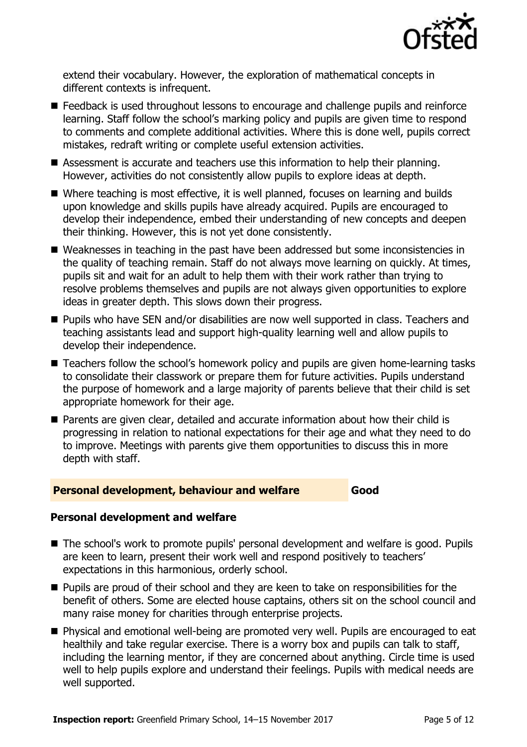

extend their vocabulary. However, the exploration of mathematical concepts in different contexts is infrequent.

- Feedback is used throughout lessons to encourage and challenge pupils and reinforce learning. Staff follow the school's marking policy and pupils are given time to respond to comments and complete additional activities. Where this is done well, pupils correct mistakes, redraft writing or complete useful extension activities.
- Assessment is accurate and teachers use this information to help their planning. However, activities do not consistently allow pupils to explore ideas at depth.
- Where teaching is most effective, it is well planned, focuses on learning and builds upon knowledge and skills pupils have already acquired. Pupils are encouraged to develop their independence, embed their understanding of new concepts and deepen their thinking. However, this is not yet done consistently.
- Weaknesses in teaching in the past have been addressed but some inconsistencies in the quality of teaching remain. Staff do not always move learning on quickly. At times, pupils sit and wait for an adult to help them with their work rather than trying to resolve problems themselves and pupils are not always given opportunities to explore ideas in greater depth. This slows down their progress.
- **Pupils who have SEN and/or disabilities are now well supported in class. Teachers and** teaching assistants lead and support high-quality learning well and allow pupils to develop their independence.
- Teachers follow the school's homework policy and pupils are given home-learning tasks to consolidate their classwork or prepare them for future activities. Pupils understand the purpose of homework and a large majority of parents believe that their child is set appropriate homework for their age.
- **Parents are given clear, detailed and accurate information about how their child is** progressing in relation to national expectations for their age and what they need to do to improve. Meetings with parents give them opportunities to discuss this in more depth with staff.

#### **Personal development, behaviour and welfare Good**

### **Personal development and welfare**

- The school's work to promote pupils' personal development and welfare is good. Pupils are keen to learn, present their work well and respond positively to teachers' expectations in this harmonious, orderly school.
- **Pupils are proud of their school and they are keen to take on responsibilities for the** benefit of others. Some are elected house captains, others sit on the school council and many raise money for charities through enterprise projects.
- **Physical and emotional well-being are promoted very well. Pupils are encouraged to eat** healthily and take regular exercise. There is a worry box and pupils can talk to staff, including the learning mentor, if they are concerned about anything. Circle time is used well to help pupils explore and understand their feelings. Pupils with medical needs are well supported.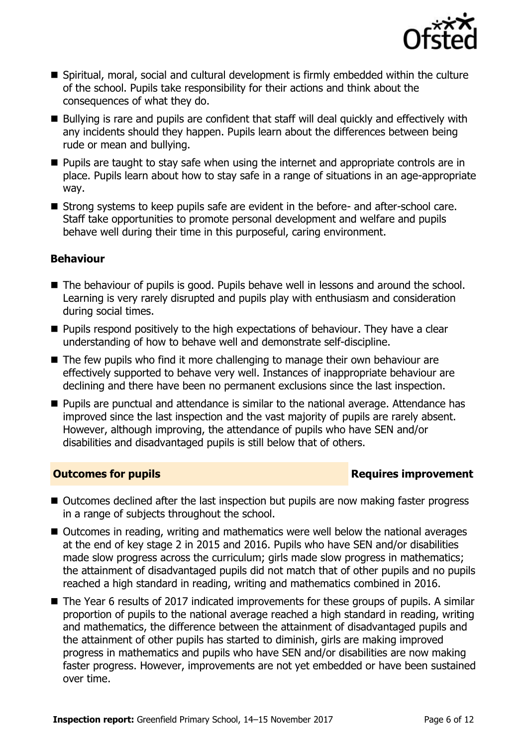

- Spiritual, moral, social and cultural development is firmly embedded within the culture of the school. Pupils take responsibility for their actions and think about the consequences of what they do.
- Bullying is rare and pupils are confident that staff will deal quickly and effectively with any incidents should they happen. Pupils learn about the differences between being rude or mean and bullying.
- **Pupils are taught to stay safe when using the internet and appropriate controls are in** place. Pupils learn about how to stay safe in a range of situations in an age-appropriate way.
- Strong systems to keep pupils safe are evident in the before- and after-school care. Staff take opportunities to promote personal development and welfare and pupils behave well during their time in this purposeful, caring environment.

### **Behaviour**

- The behaviour of pupils is good. Pupils behave well in lessons and around the school. Learning is very rarely disrupted and pupils play with enthusiasm and consideration during social times.
- $\blacksquare$  Pupils respond positively to the high expectations of behaviour. They have a clear understanding of how to behave well and demonstrate self-discipline.
- The few pupils who find it more challenging to manage their own behaviour are effectively supported to behave very well. Instances of inappropriate behaviour are declining and there have been no permanent exclusions since the last inspection.
- **Pupils are punctual and attendance is similar to the national average. Attendance has** improved since the last inspection and the vast majority of pupils are rarely absent. However, although improving, the attendance of pupils who have SEN and/or disabilities and disadvantaged pupils is still below that of others.

### **Outcomes for pupils Requires improvement**

- Outcomes declined after the last inspection but pupils are now making faster progress in a range of subjects throughout the school.
- Outcomes in reading, writing and mathematics were well below the national averages at the end of key stage 2 in 2015 and 2016. Pupils who have SEN and/or disabilities made slow progress across the curriculum; girls made slow progress in mathematics; the attainment of disadvantaged pupils did not match that of other pupils and no pupils reached a high standard in reading, writing and mathematics combined in 2016.
- The Year 6 results of 2017 indicated improvements for these groups of pupils. A similar proportion of pupils to the national average reached a high standard in reading, writing and mathematics, the difference between the attainment of disadvantaged pupils and the attainment of other pupils has started to diminish, girls are making improved progress in mathematics and pupils who have SEN and/or disabilities are now making faster progress. However, improvements are not yet embedded or have been sustained over time.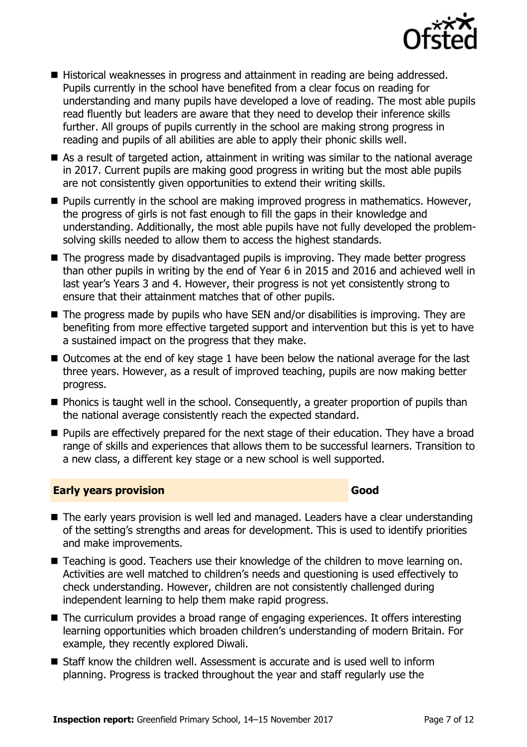

- Historical weaknesses in progress and attainment in reading are being addressed. Pupils currently in the school have benefited from a clear focus on reading for understanding and many pupils have developed a love of reading. The most able pupils read fluently but leaders are aware that they need to develop their inference skills further. All groups of pupils currently in the school are making strong progress in reading and pupils of all abilities are able to apply their phonic skills well.
- As a result of targeted action, attainment in writing was similar to the national average in 2017. Current pupils are making good progress in writing but the most able pupils are not consistently given opportunities to extend their writing skills.
- $\blacksquare$  Pupils currently in the school are making improved progress in mathematics. However, the progress of girls is not fast enough to fill the gaps in their knowledge and understanding. Additionally, the most able pupils have not fully developed the problemsolving skills needed to allow them to access the highest standards.
- The progress made by disadvantaged pupils is improving. They made better progress than other pupils in writing by the end of Year 6 in 2015 and 2016 and achieved well in last year's Years 3 and 4. However, their progress is not yet consistently strong to ensure that their attainment matches that of other pupils.
- $\blacksquare$  The progress made by pupils who have SEN and/or disabilities is improving. They are benefiting from more effective targeted support and intervention but this is yet to have a sustained impact on the progress that they make.
- Outcomes at the end of key stage 1 have been below the national average for the last three years. However, as a result of improved teaching, pupils are now making better progress.
- **Phonics is taught well in the school. Consequently, a greater proportion of pupils than** the national average consistently reach the expected standard.
- **Pupils are effectively prepared for the next stage of their education. They have a broad Proad** range of skills and experiences that allows them to be successful learners. Transition to a new class, a different key stage or a new school is well supported.

#### **Early years provision Good**

- The early years provision is well led and managed. Leaders have a clear understanding of the setting's strengths and areas for development. This is used to identify priorities and make improvements.
- Teaching is good. Teachers use their knowledge of the children to move learning on. Activities are well matched to children's needs and questioning is used effectively to check understanding. However, children are not consistently challenged during independent learning to help them make rapid progress.
- The curriculum provides a broad range of engaging experiences. It offers interesting learning opportunities which broaden children's understanding of modern Britain. For example, they recently explored Diwali.
- Staff know the children well. Assessment is accurate and is used well to inform planning. Progress is tracked throughout the year and staff regularly use the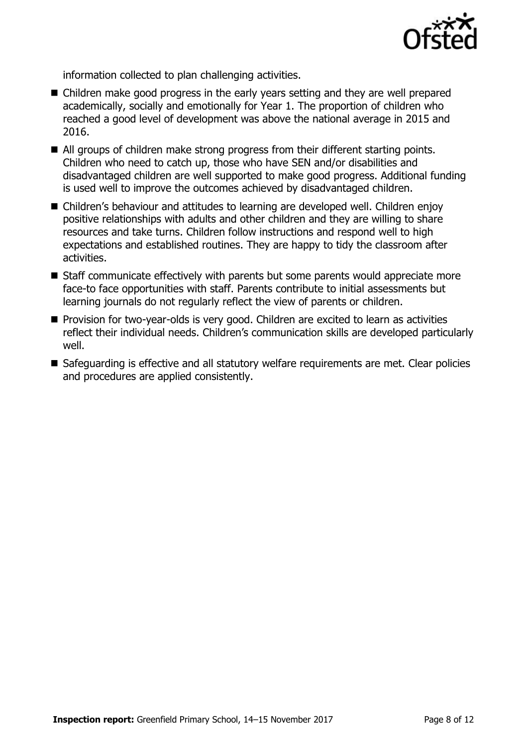

information collected to plan challenging activities.

- Children make good progress in the early years setting and they are well prepared academically, socially and emotionally for Year 1. The proportion of children who reached a good level of development was above the national average in 2015 and 2016.
- All groups of children make strong progress from their different starting points. Children who need to catch up, those who have SEN and/or disabilities and disadvantaged children are well supported to make good progress. Additional funding is used well to improve the outcomes achieved by disadvantaged children.
- Children's behaviour and attitudes to learning are developed well. Children enjoy positive relationships with adults and other children and they are willing to share resources and take turns. Children follow instructions and respond well to high expectations and established routines. They are happy to tidy the classroom after activities.
- Staff communicate effectively with parents but some parents would appreciate more face-to face opportunities with staff. Parents contribute to initial assessments but learning journals do not regularly reflect the view of parents or children.
- **Provision for two-year-olds is very good. Children are excited to learn as activities** reflect their individual needs. Children's communication skills are developed particularly well.
- Safeguarding is effective and all statutory welfare requirements are met. Clear policies and procedures are applied consistently.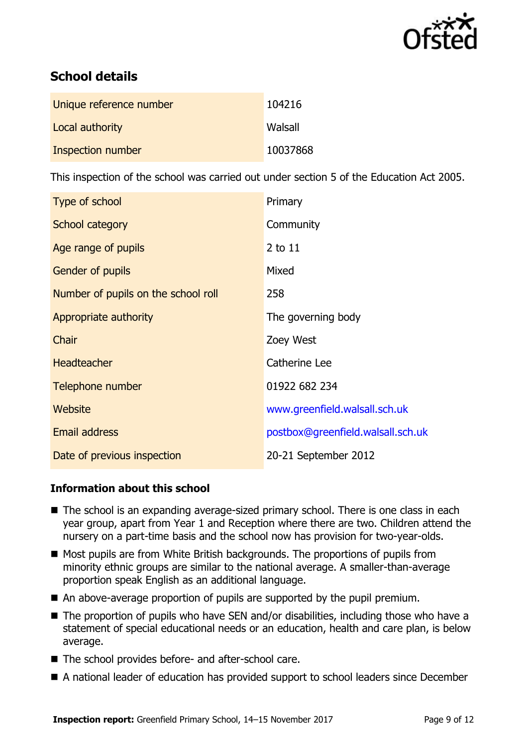

# **School details**

| Unique reference number | 104216   |
|-------------------------|----------|
| Local authority         | Walsall  |
| Inspection number       | 10037868 |

This inspection of the school was carried out under section 5 of the Education Act 2005.

| Type of school                      | Primary                           |
|-------------------------------------|-----------------------------------|
| School category                     | Community                         |
| Age range of pupils                 | 2 to 11                           |
| <b>Gender of pupils</b>             | Mixed                             |
| Number of pupils on the school roll | 258                               |
| Appropriate authority               | The governing body                |
| Chair                               | Zoey West                         |
| <b>Headteacher</b>                  | Catherine Lee                     |
| Telephone number                    | 01922 682 234                     |
| Website                             | www.greenfield.walsall.sch.uk     |
| <b>Email address</b>                | postbox@greenfield.walsall.sch.uk |
| Date of previous inspection         | 20-21 September 2012              |

### **Information about this school**

- The school is an expanding average-sized primary school. There is one class in each year group, apart from Year 1 and Reception where there are two. Children attend the nursery on a part-time basis and the school now has provision for two-year-olds.
- Most pupils are from White British backgrounds. The proportions of pupils from minority ethnic groups are similar to the national average. A smaller-than-average proportion speak English as an additional language.
- An above-average proportion of pupils are supported by the pupil premium.
- The proportion of pupils who have SEN and/or disabilities, including those who have a statement of special educational needs or an education, health and care plan, is below average.
- The school provides before- and after-school care.
- A national leader of education has provided support to school leaders since December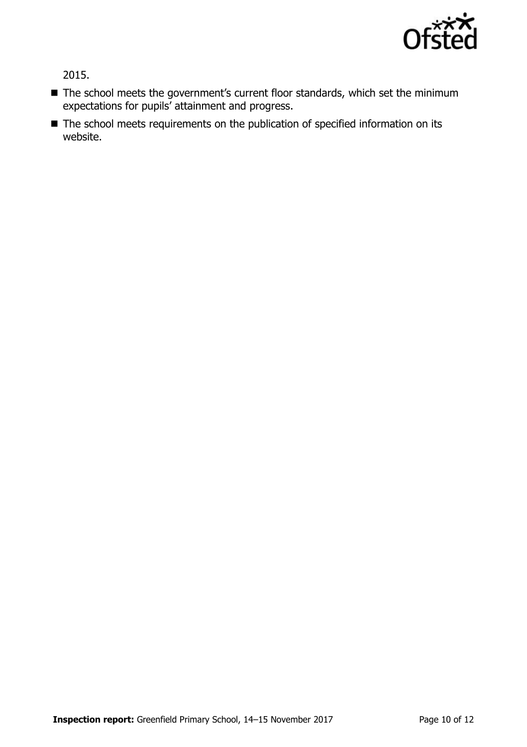

2015.

- The school meets the government's current floor standards, which set the minimum expectations for pupils' attainment and progress.
- The school meets requirements on the publication of specified information on its website.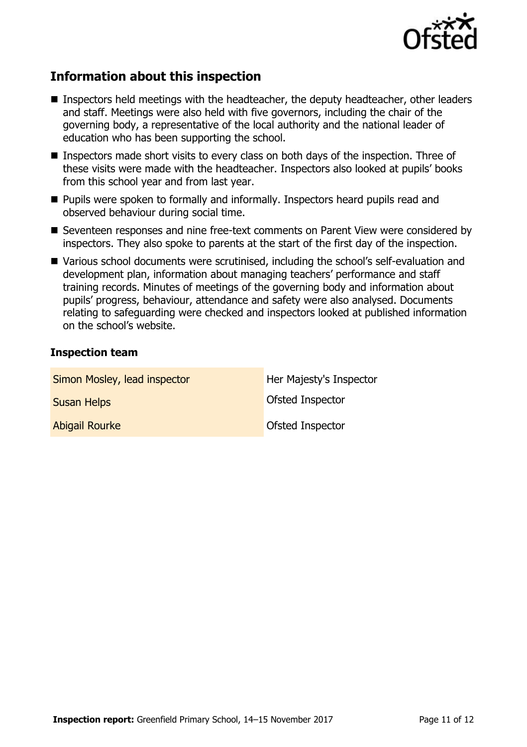

## **Information about this inspection**

- Inspectors held meetings with the headteacher, the deputy headteacher, other leaders and staff. Meetings were also held with five governors, including the chair of the governing body, a representative of the local authority and the national leader of education who has been supporting the school.
- Inspectors made short visits to every class on both days of the inspection. Three of these visits were made with the headteacher. Inspectors also looked at pupils' books from this school year and from last year.
- **Pupils were spoken to formally and informally. Inspectors heard pupils read and** observed behaviour during social time.
- Seventeen responses and nine free-text comments on Parent View were considered by inspectors. They also spoke to parents at the start of the first day of the inspection.
- Various school documents were scrutinised, including the school's self-evaluation and development plan, information about managing teachers' performance and staff training records. Minutes of meetings of the governing body and information about pupils' progress, behaviour, attendance and safety were also analysed. Documents relating to safeguarding were checked and inspectors looked at published information on the school's website.

#### **Inspection team**

| Simon Mosley, lead inspector | Her Majesty's Inspector |
|------------------------------|-------------------------|
| <b>Susan Helps</b>           | Ofsted Inspector        |
| <b>Abigail Rourke</b>        | Ofsted Inspector        |